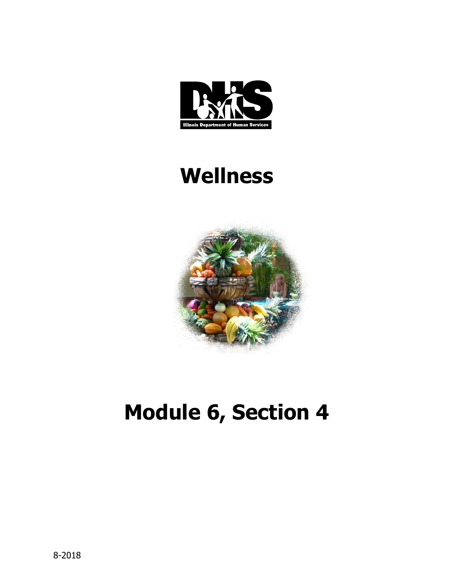

# **Wellness**



# Module 6, Section 4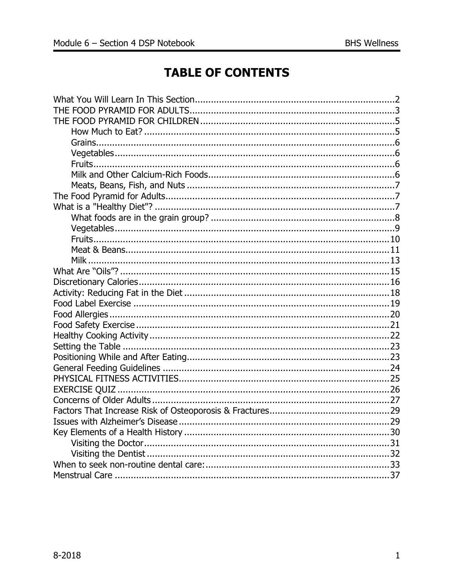### **TABLE OF CONTENTS**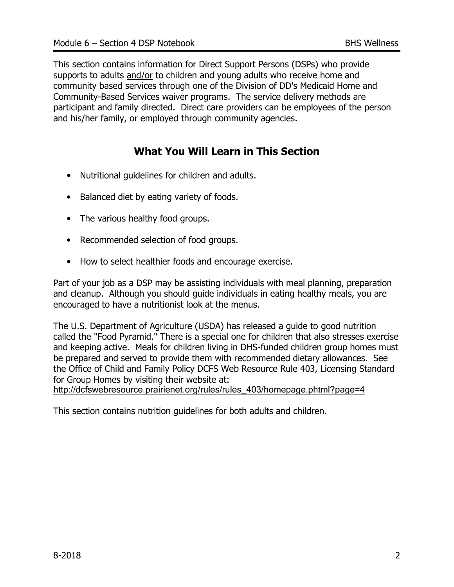This section contains information for Direct Support Persons (DSPs) who provide supports to adults and/or to children and young adults who receive home and community based services through one of the Division of DD's Medicaid Home and Community-Based Services waiver programs. The service delivery methods are participant and family directed. Direct care providers can be employees of the person and his/her family, or employed through community agencies.

### What You Will Learn in This Section

- Nutritional guidelines for children and adults.
- Balanced diet by eating variety of foods.
- The various healthy food groups.
- Recommended selection of food groups.
- How to select healthier foods and encourage exercise.

Part of your job as a DSP may be assisting individuals with meal planning, preparation and cleanup. Although you should guide individuals in eating healthy meals, you are encouraged to have a nutritionist look at the menus.

The U.S. Department of Agriculture (USDA) has released a guide to good nutrition called the "Food Pyramid." There is a special one for children that also stresses exercise and keeping active. Meals for children living in DHS-funded children group homes must be prepared and served to provide them with recommended dietary allowances. See the Office of Child and Family Policy DCFS Web Resource Rule 403, Licensing Standard for Group Homes by visiting their website at:

http://dcfswebresource.prairienet.org/rules/rules\_403/homepage.phtml?page=4

This section contains nutrition guidelines for both adults and children.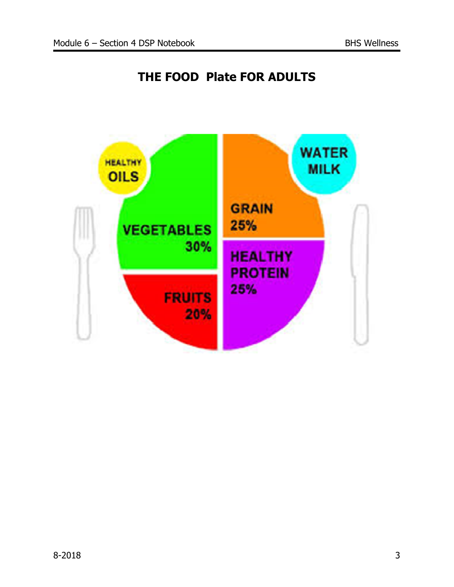### THE FOOD Plate FOR ADULTS

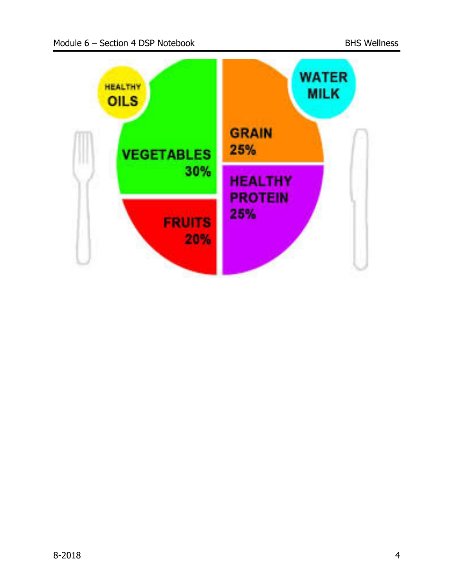

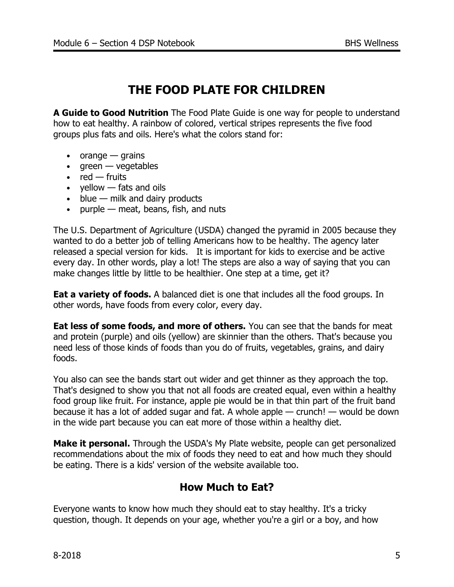### THE FOOD PLATE FOR CHILDREN

A Guide to Good Nutrition The Food Plate Guide is one way for people to understand how to eat healthy. A rainbow of colored, vertical stripes represents the five food groups plus fats and oils. Here's what the colors stand for:

- $\bullet$  orange grains
- green vegetables
- $\bullet$  red fruits
- yellow fats and oils
- $\bullet$  blue milk and dairy products
- purple meat, beans, fish, and nuts

The U.S. Department of Agriculture (USDA) changed the pyramid in 2005 because they wanted to do a better job of telling Americans how to be healthy. The agency later released a special version for kids. It is important for kids to exercise and be active every day. In other words, play a lot! The steps are also a way of saying that you can make changes little by little to be healthier. One step at a time, get it?

**Eat a variety of foods.** A balanced diet is one that includes all the food groups. In other words, have foods from every color, every day.

Eat less of some foods, and more of others. You can see that the bands for meat and protein (purple) and oils (yellow) are skinnier than the others. That's because you need less of those kinds of foods than you do of fruits, vegetables, grains, and dairy foods.

You also can see the bands start out wider and get thinner as they approach the top. That's designed to show you that not all foods are created equal, even within a healthy food group like fruit. For instance, apple pie would be in that thin part of the fruit band because it has a lot of added sugar and fat. A whole apple — crunch! — would be down in the wide part because you can eat more of those within a healthy diet.

**Make it personal.** Through the USDA's My Plate website, people can get personalized recommendations about the mix of foods they need to eat and how much they should be eating. There is a kids' version of the website available too.

### How Much to Eat?

Everyone wants to know how much they should eat to stay healthy. It's a tricky question, though. It depends on your age, whether you're a girl or a boy, and how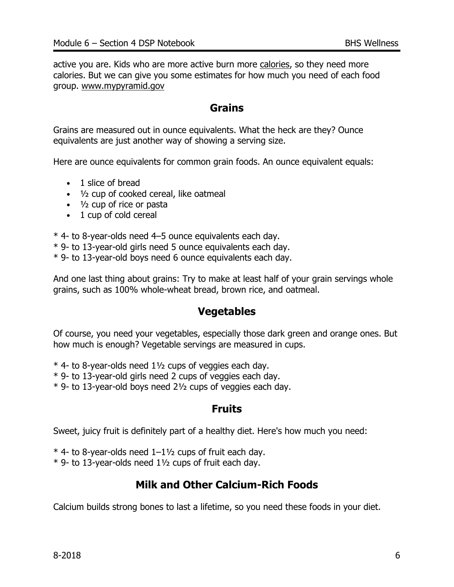active you are. Kids who are more active burn more calories, so they need more calories. But we can give you some estimates for how much you need of each food group. www.mypyramid.gov

### **Grains**

Grains are measured out in ounce equivalents. What the heck are they? Ounce equivalents are just another way of showing a serving size.

Here are ounce equivalents for common grain foods. An ounce equivalent equals:

- 1 slice of bread
- 1/2 cup of cooked cereal, like oatmeal
- $\cdot$   $\frac{1}{2}$  cup of rice or pasta
- 1 cup of cold cereal

\* 4- to 8-year-olds need 4–5 ounce equivalents each day.

\* 9- to 13-year-old girls need 5 ounce equivalents each day.

\* 9- to 13-year-old boys need 6 ounce equivalents each day.

And one last thing about grains: Try to make at least half of your grain servings whole grains, such as 100% whole-wheat bread, brown rice, and oatmeal.

### Vegetables

Of course, you need your vegetables, especially those dark green and orange ones. But how much is enough? Vegetable servings are measured in cups.

- $*$  4- to 8-year-olds need  $1\frac{1}{2}$  cups of veggies each day.
- \* 9- to 13-year-old girls need 2 cups of veggies each day.
- \* 9- to 13-year-old boys need 2½ cups of veggies each day.

### Fruits

Sweet, juicy fruit is definitely part of a healthy diet. Here's how much you need:

- $*$  4- to 8-year-olds need  $1-1\frac{1}{2}$  cups of fruit each day.
- $*$  9- to 13-year-olds need 1 $\frac{1}{2}$  cups of fruit each day.

### Milk and Other Calcium-Rich Foods

Calcium builds strong bones to last a lifetime, so you need these foods in your diet.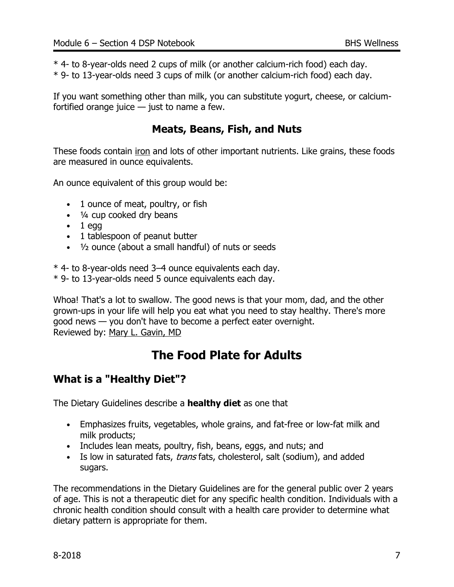\* 4- to 8-year-olds need 2 cups of milk (or another calcium-rich food) each day.

\* 9- to 13-year-olds need 3 cups of milk (or another calcium-rich food) each day.

If you want something other than milk, you can substitute yogurt, cheese, or calciumfortified orange juice  $-$  just to name a few.

### Meats, Beans, Fish, and Nuts

These foods contain iron and lots of other important nutrients. Like grains, these foods are measured in ounce equivalents.

An ounce equivalent of this group would be:

- 1 ounce of meat, poultry, or fish
- 1/4 cup cooked dry beans
- $\bullet$  1 egg
- 1 tablespoon of peanut butter
- ½ ounce (about a small handful) of nuts or seeds

\* 4- to 8-year-olds need 3–4 ounce equivalents each day.

\* 9- to 13-year-olds need 5 ounce equivalents each day.

Whoa! That's a lot to swallow. The good news is that your mom, dad, and the other grown-ups in your life will help you eat what you need to stay healthy. There's more good news — you don't have to become a perfect eater overnight. Reviewed by: Mary L. Gavin, MD

### The Food Plate for Adults

### What is a "Healthy Diet"?

The Dietary Guidelines describe a **healthy diet** as one that

- Emphasizes fruits, vegetables, whole grains, and fat-free or low-fat milk and milk products;
- Includes lean meats, poultry, fish, beans, eggs, and nuts; and
- Is low in saturated fats, *trans* fats, cholesterol, salt (sodium), and added sugars.

The recommendations in the Dietary Guidelines are for the general public over 2 years of age. This is not a therapeutic diet for any specific health condition. Individuals with a chronic health condition should consult with a health care provider to determine what dietary pattern is appropriate for them.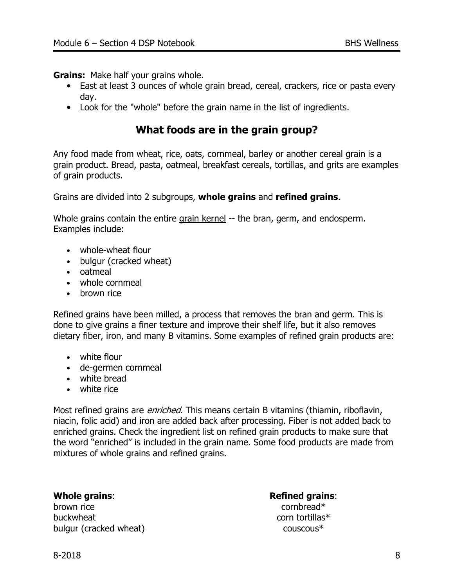**Grains:** Make half your grains whole.

- East at least 3 ounces of whole grain bread, cereal, crackers, rice or pasta every day.
- Look for the "whole" before the grain name in the list of ingredients.

### What foods are in the grain group?

Any food made from wheat, rice, oats, cornmeal, barley or another cereal grain is a grain product. Bread, pasta, oatmeal, breakfast cereals, tortillas, and grits are examples of grain products.

Grains are divided into 2 subgroups, whole grains and refined grains.

Whole grains contain the entire grain kernel -- the bran, germ, and endosperm. Examples include:

- whole-wheat flour
- bulgur (cracked wheat)
- oatmeal
- whole cornmeal
- brown rice

Refined grains have been milled, a process that removes the bran and germ. This is done to give grains a finer texture and improve their shelf life, but it also removes dietary fiber, iron, and many B vitamins. Some examples of refined grain products are:

- white flour
- de-germen cornmeal
- white bread
- white rice

Most refined grains are *enriched*. This means certain B vitamins (thiamin, riboflavin, niacin, folic acid) and iron are added back after processing. Fiber is not added back to enriched grains. Check the ingredient list on refined grain products to make sure that the word "enriched" is included in the grain name. Some food products are made from mixtures of whole grains and refined grains.

### Whole grains:

brown rice buckwheat bulgur (cracked wheat) Refined grains: cornbread\* corn tortillas\* couscous\*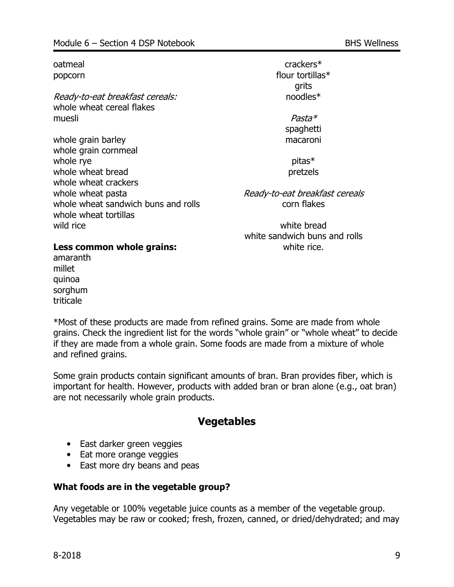oatmeal popcorn

Ready-to-eat breakfast cereals: whole wheat cereal flakes muesli

whole grain barley whole grain cornmeal whole rye whole wheat bread whole wheat crackers whole wheat pasta whole wheat sandwich buns and rolls whole wheat tortillas wild rice

crackers\* flour tortillas\* grits noodles\*

> Pasta\* spaghetti macaroni

pitas\* pretzels

Ready-to-eat breakfast cereals corn flakes

white bread white sandwich buns and rolls white rice.

#### Less common whole grains:

amaranth millet quinoa sorghum triticale

\*Most of these products are made from refined grains. Some are made from whole grains. Check the ingredient list for the words "whole grain" or "whole wheat" to decide if they are made from a whole grain. Some foods are made from a mixture of whole and refined grains.

Some grain products contain significant amounts of bran. Bran provides fiber, which is important for health. However, products with added bran or bran alone (e.g., oat bran) are not necessarily whole grain products.

### Vegetables

- East darker green veggies
- Eat more orange veggies
- East more dry beans and peas

### What foods are in the vegetable group?

Any vegetable or 100% vegetable juice counts as a member of the vegetable group. Vegetables may be raw or cooked; fresh, frozen, canned, or dried/dehydrated; and may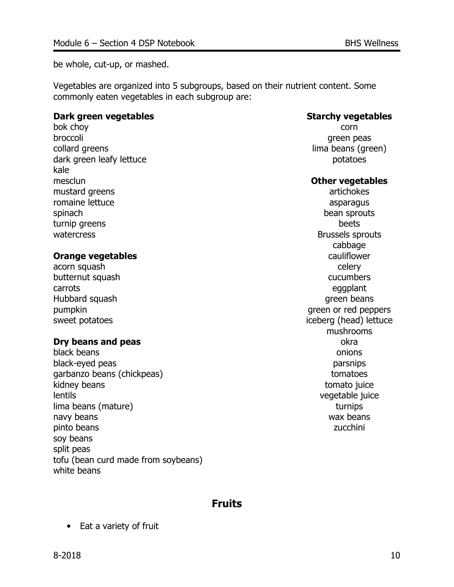be whole, cut-up, or mashed.

Vegetables are organized into 5 subgroups, based on their nutrient content. Some commonly eaten vegetables in each subgroup are:

#### Dark green vegetables

bok choy broccoli collard greens dark green leafy lettuce kale mesclun mustard greens romaine lettuce spinach turnip greens watercress

#### Orange vegetables

acorn squash butternut squash carrots Hubbard squash pumpkin sweet potatoes

### Dry beans and peas

black beans black-eyed peas garbanzo beans (chickpeas) kidney beans lentils lima beans (mature) navy beans pinto beans soy beans split peas tofu (bean curd made from soybeans) white beans

### Starchy vegetables

corn green peas lima beans (green) potatoes

#### Other vegetables

artichokes asparagus bean sprouts beets Brussels sprouts cabbage cauliflower celery cucumbers eggplant green beans green or red peppers iceberg (head) lettuce mushrooms okra onions parsnips tomatoes tomato juice vegetable juice turnips wax beans zucchini

### Fruits

• Eat a variety of fruit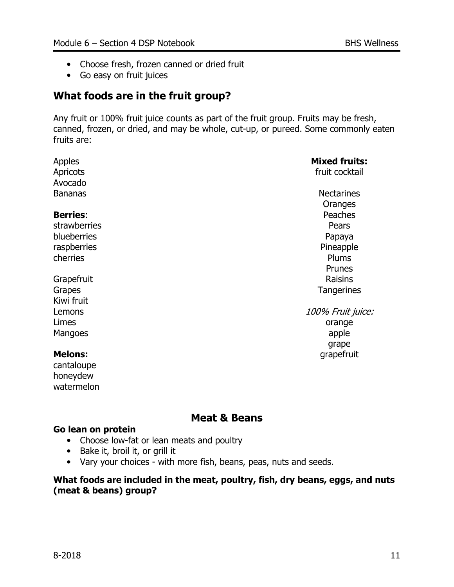- Choose fresh, frozen canned or dried fruit
- Go easy on fruit juices

### What foods are in the fruit group?

Any fruit or 100% fruit juice counts as part of the fruit group. Fruits may be fresh, canned, frozen, or dried, and may be whole, cut-up, or pureed. Some commonly eaten fruits are:

| Apples<br><b>Apricots</b><br>Avocado | <b>Mixed fruits:</b><br>fruit cocktail |
|--------------------------------------|----------------------------------------|
| <b>Bananas</b>                       | <b>Nectarines</b>                      |
|                                      | Oranges                                |
| <b>Berries:</b>                      | Peaches                                |
| strawberries                         | Pears                                  |
| blueberries                          | Papaya                                 |
| raspberries                          | Pineapple                              |
| cherries                             | Plums                                  |
|                                      | Prunes                                 |
| Grapefruit                           | Raisins                                |
| Grapes                               | <b>Tangerines</b>                      |
| Kiwi fruit                           |                                        |
| Lemons                               | 100% Fruit juice:                      |
| Limes                                | orange                                 |
| Mangoes                              | apple                                  |
|                                      | grape                                  |
| <b>Melons:</b>                       | grapefruit                             |
| cantaloupe                           |                                        |
| honeydew                             |                                        |

### Meat & Beans

### Go lean on protein

watermelon

- Choose low-fat or lean meats and poultry
- Bake it, broil it, or grill it
- Vary your choices with more fish, beans, peas, nuts and seeds.

#### What foods are included in the meat, poultry, fish, dry beans, eggs, and nuts (meat & beans) group?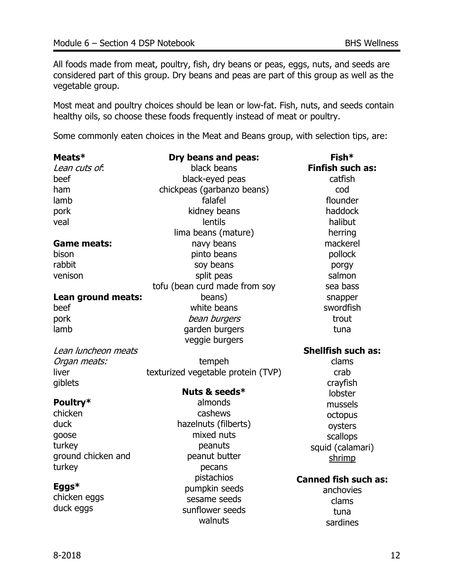All foods made from meat, poultry, fish, dry beans or peas, eggs, nuts, and seeds are considered part of this group. Dry beans and peas are part of this group as well as the vegetable group.

Most meat and poultry choices should be lean or low-fat. Fish, nuts, and seeds contain healthy oils, so choose these foods frequently instead of meat or poultry.

Some commonly eaten choices in the Meat and Beans group, with selection tips, are:

| Meats*              | Dry beans and peas:                | Fish*                       |
|---------------------|------------------------------------|-----------------------------|
| Lean cuts of.       | black beans                        | <b>Finfish such as:</b>     |
| beef                | black-eyed peas                    | catfish                     |
| ham                 | chickpeas (garbanzo beans)         | cod                         |
| lamb                | falafel                            | flounder                    |
| pork                | kidney beans                       | haddock                     |
| veal                | lentils                            | halibut                     |
|                     | lima beans (mature)                | herring                     |
| <b>Game meats:</b>  | navy beans                         | mackerel                    |
| bison               | pinto beans                        | pollock                     |
| rabbit              | soy beans                          | porgy                       |
| venison             | split peas                         | salmon                      |
|                     | tofu (bean curd made from soy      | sea bass                    |
| Lean ground meats:  | beans)                             | snapper                     |
| beef                | white beans                        | swordfish                   |
| pork                | bean burgers                       | trout                       |
| lamb                | garden burgers                     | tuna                        |
|                     | veggie burgers                     |                             |
| Lean luncheon meats |                                    | <b>Shellfish such as:</b>   |
| Organ meats:        | tempeh                             | clams                       |
| liver               | texturized vegetable protein (TVP) | crab                        |
| giblets             |                                    | crayfish                    |
|                     | Nuts & seeds*                      | lobster                     |
| Poultry*            | almonds                            | mussels                     |
| chicken             | cashews                            | octopus                     |
| duck                | hazelnuts (filberts)               | oysters                     |
| goose               | mixed nuts                         | scallops                    |
| turkey              | peanuts                            | squid (calamari)            |
| ground chicken and  | peanut butter                      | shrimp                      |
| turkey              | pecans                             |                             |
|                     | pistachios                         | <b>Canned fish such as:</b> |
| Eggs*               | pumpkin seeds                      | anchovies                   |
| chicken eggs        | sesame seeds                       | clams                       |
| duck eggs           | sunflower seeds                    | tuna                        |
|                     | walnuts                            | sardines                    |
|                     |                                    |                             |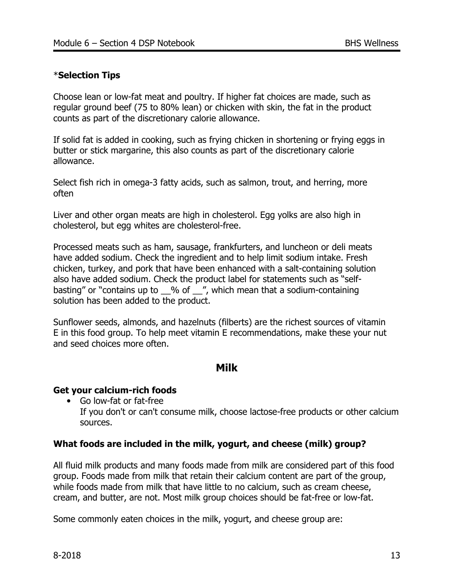#### \*Selection Tips

Choose lean or low-fat meat and poultry. If higher fat choices are made, such as regular ground beef (75 to 80% lean) or chicken with skin, the fat in the product counts as part of the discretionary calorie allowance.

If solid fat is added in cooking, such as frying chicken in shortening or frying eggs in butter or stick margarine, this also counts as part of the discretionary calorie allowance.

Select fish rich in omega-3 fatty acids, such as salmon, trout, and herring, more often

Liver and other organ meats are high in cholesterol. Egg yolks are also high in cholesterol, but egg whites are cholesterol-free.

Processed meats such as ham, sausage, frankfurters, and luncheon or deli meats have added sodium. Check the ingredient and to help limit sodium intake. Fresh chicken, turkey, and pork that have been enhanced with a salt-containing solution also have added sodium. Check the product label for statements such as "selfbasting" or "contains up to  $\_\%$  of  $\_\%$ , which mean that a sodium-containing solution has been added to the product.

Sunflower seeds, almonds, and hazelnuts (filberts) are the richest sources of vitamin E in this food group. To help meet vitamin E recommendations, make these your nut and seed choices more often.

### Milk

#### Get your calcium-rich foods

• Go low-fat or fat-free If you don't or can't consume milk, choose lactose-free products or other calcium sources.

#### What foods are included in the milk, yogurt, and cheese (milk) group?

All fluid milk products and many foods made from milk are considered part of this food group. Foods made from milk that retain their calcium content are part of the group, while foods made from milk that have little to no calcium, such as cream cheese, cream, and butter, are not. Most milk group choices should be fat-free or low-fat.

Some commonly eaten choices in the milk, yogurt, and cheese group are: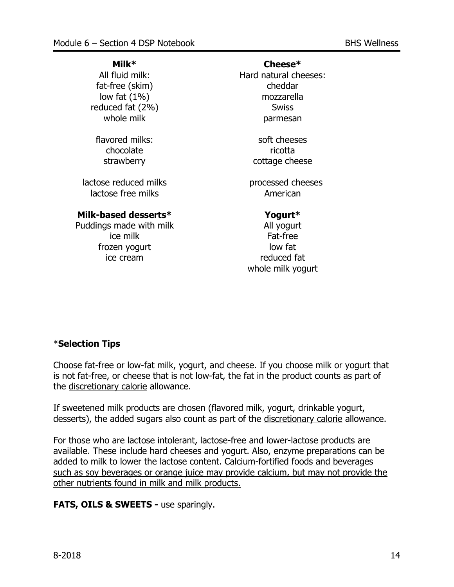#### Milk\*

All fluid milk: fat-free (skim) low fat  $(1%)$ reduced fat (2%) whole milk

flavored milks: chocolate strawberry

lactose reduced milks lactose free milks

#### Milk-based desserts\*

Puddings made with milk ice milk frozen yogurt ice cream

#### Cheese\*

Hard natural cheeses: cheddar mozzarella **Swiss** parmesan

> soft cheeses ricotta cottage cheese

processed cheeses American

#### Yogurt\*

All yogurt Fat-free low fat reduced fat whole milk yogurt

### \*Selection Tips

Choose fat-free or low-fat milk, yogurt, and cheese. If you choose milk or yogurt that is not fat-free, or cheese that is not low-fat, the fat in the product counts as part of the discretionary calorie allowance.

If sweetened milk products are chosen (flavored milk, yogurt, drinkable yogurt, desserts), the added sugars also count as part of the discretionary calorie allowance.

For those who are lactose intolerant, lactose-free and lower-lactose products are available. These include hard cheeses and yogurt. Also, enzyme preparations can be added to milk to lower the lactose content. Calcium-fortified foods and beverages such as soy beverages or orange juice may provide calcium, but may not provide the other nutrients found in milk and milk products.

FATS, OILS & SWEETS - use sparingly.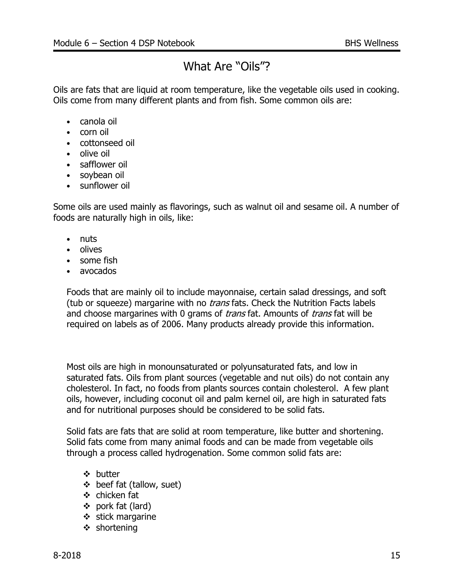### What Are "Oils"?

Oils are fats that are liquid at room temperature, like the vegetable oils used in cooking. Oils come from many different plants and from fish. Some common oils are:

- canola oil
- corn oil
- cottonseed oil
- olive oil
- safflower oil
- soybean oil
- sunflower oil

Some oils are used mainly as flavorings, such as walnut oil and sesame oil. A number of foods are naturally high in oils, like:

- nuts
- olives
- some fish
- avocados

Foods that are mainly oil to include mayonnaise, certain salad dressings, and soft (tub or squeeze) margarine with no *trans* fats. Check the Nutrition Facts labels and choose margarines with 0 grams of *trans* fat. Amounts of *trans* fat will be required on labels as of 2006. Many products already provide this information.

Most oils are high in monounsaturated or polyunsaturated fats, and low in saturated fats. Oils from plant sources (vegetable and nut oils) do not contain any cholesterol. In fact, no foods from plants sources contain cholesterol. A few plant oils, however, including coconut oil and palm kernel oil, are high in saturated fats and for nutritional purposes should be considered to be solid fats.

Solid fats are fats that are solid at room temperature, like butter and shortening. Solid fats come from many animal foods and can be made from vegetable oils through a process called hydrogenation. Some common solid fats are:

- ❖ butter
- $\div$  beef fat (tallow, suet)
- chicken fat
- $\div$  pork fat (lard)
- $\div$  stick margarine
- $\div$  shortening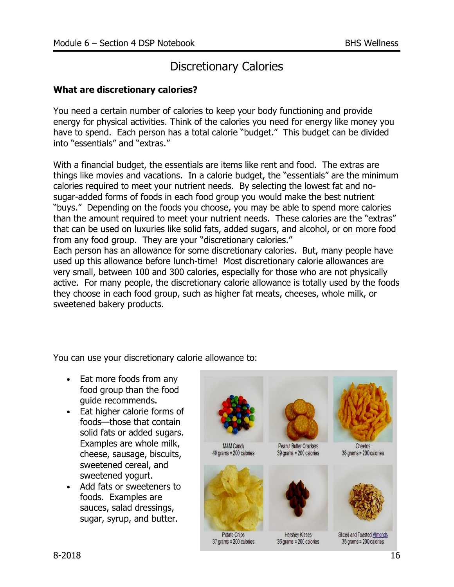### Discretionary Calories

#### What are discretionary calories?

You need a certain number of calories to keep your body functioning and provide energy for physical activities. Think of the calories you need for energy like money you have to spend. Each person has a total calorie "budget." This budget can be divided into "essentials" and "extras."

With a financial budget, the essentials are items like rent and food. The extras are things like movies and vacations. In a calorie budget, the "essentials" are the minimum calories required to meet your nutrient needs. By selecting the lowest fat and nosugar-added forms of foods in each food group you would make the best nutrient "buys." Depending on the foods you choose, you may be able to spend more calories than the amount required to meet your nutrient needs. These calories are the "extras" that can be used on luxuries like solid fats, added sugars, and alcohol, or on more food from any food group. They are your "discretionary calories." Each person has an allowance for some discretionary calories. But, many people have

used up this allowance before lunch-time! Most discretionary calorie allowances are very small, between 100 and 300 calories, especially for those who are not physically active. For many people, the discretionary calorie allowance is totally used by the foods they choose in each food group, such as higher fat meats, cheeses, whole milk, or sweetened bakery products.

You can use your discretionary calorie allowance to:

- Eat more foods from any food group than the food guide recommends.
- Eat higher calorie forms of foods—those that contain solid fats or added sugars. Examples are whole milk, cheese, sausage, biscuits, sweetened cereal, and sweetened yogurt.
- Add fats or sweeteners to foods. Examples are sauces, salad dressings, sugar, syrup, and butter.



M&M Candy 40 grams = 200 calories



Potato Chips 37 grams = 200 calories



**Peanut Butter Crackers** 39 grams = 200 calories



**Hershey Kisses** 36 grams = 200 calories



Cheetos 38 grams = 200 calories



Sliced and Toasted Almonds 35 grams = 200 calories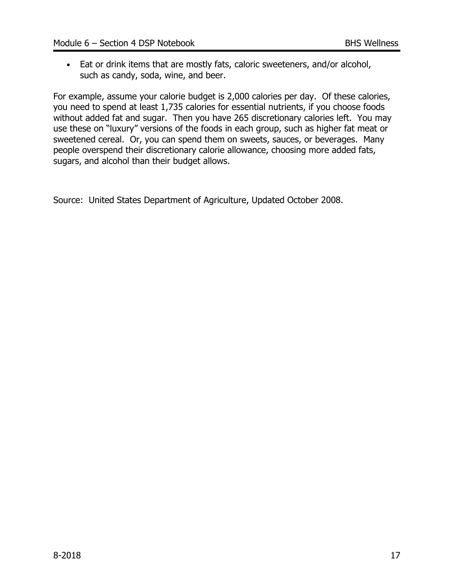• Eat or drink items that are mostly fats, caloric sweeteners, and/or alcohol, such as candy, soda, wine, and beer.

For example, assume your calorie budget is 2,000 calories per day. Of these calories, you need to spend at least 1,735 calories for essential nutrients, if you choose foods without added fat and sugar. Then you have 265 discretionary calories left. You may use these on "luxury" versions of the foods in each group, such as higher fat meat or sweetened cereal. Or, you can spend them on sweets, sauces, or beverages. Many people overspend their discretionary calorie allowance, choosing more added fats, sugars, and alcohol than their budget allows.

Source: United States Department of Agriculture, Updated October 2008.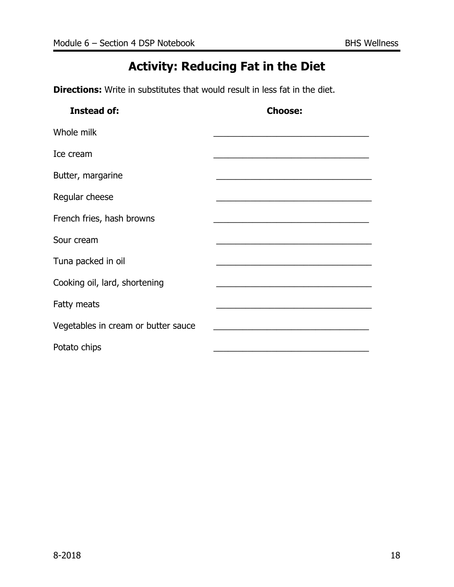## Activity: Reducing Fat in the Diet

**Directions:** Write in substitutes that would result in less fat in the diet.

| <b>Instead of:</b>                  | <b>Choose:</b> |
|-------------------------------------|----------------|
| Whole milk                          |                |
| Ice cream                           |                |
| Butter, margarine                   |                |
| Regular cheese                      |                |
| French fries, hash browns           |                |
| Sour cream                          |                |
| Tuna packed in oil                  |                |
| Cooking oil, lard, shortening       |                |
| Fatty meats                         |                |
| Vegetables in cream or butter sauce |                |
| Potato chips                        |                |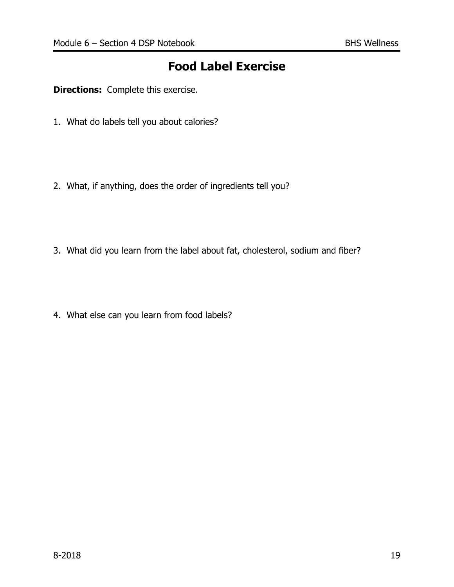### Food Label Exercise

**Directions:** Complete this exercise.

- 1. What do labels tell you about calories?
- 2. What, if anything, does the order of ingredients tell you?
- 3. What did you learn from the label about fat, cholesterol, sodium and fiber?
- 4. What else can you learn from food labels?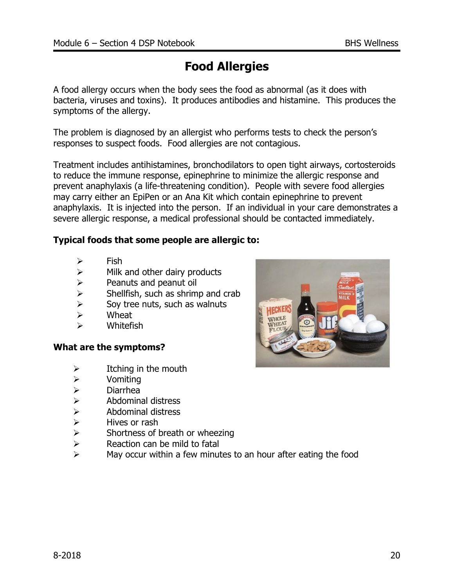### Food Allergies

A food allergy occurs when the body sees the food as abnormal (as it does with bacteria, viruses and toxins). It produces antibodies and histamine. This produces the symptoms of the allergy.

The problem is diagnosed by an allergist who performs tests to check the person's responses to suspect foods. Food allergies are not contagious.

Treatment includes antihistamines, bronchodilators to open tight airways, cortosteroids to reduce the immune response, epinephrine to minimize the allergic response and prevent anaphylaxis (a life-threatening condition). People with severe food allergies may carry either an EpiPen or an Ana Kit which contain epinephrine to prevent anaphylaxis. It is injected into the person. If an individual in your care demonstrates a severe allergic response, a medical professional should be contacted immediately.

### Typical foods that some people are allergic to:

- $\blacktriangleright$ Fish
- $\blacktriangleright$ Milk and other dairy products
- $\blacktriangleright$ Peanuts and peanut oil
- $\blacktriangleright$ Shellfish, such as shrimp and crab
- $\blacktriangleright$ Soy tree nuts, such as walnuts
- $\blacktriangleright$ Wheat
- $\blacktriangleright$ Whitefish

#### What are the symptoms?

- $\blacktriangleright$ Itching in the mouth
- $\blacktriangleright$ Vomiting
- $\blacktriangleright$ Diarrhea
- $\blacktriangleright$ Abdominal distress
- $\blacktriangleright$ Abdominal distress
- $\blacktriangleright$ Hives or rash
- $\blacktriangleright$ Shortness of breath or wheezing
- $\blacktriangleright$ Reaction can be mild to fatal
- $\blacktriangleright$ May occur within a few minutes to an hour after eating the food

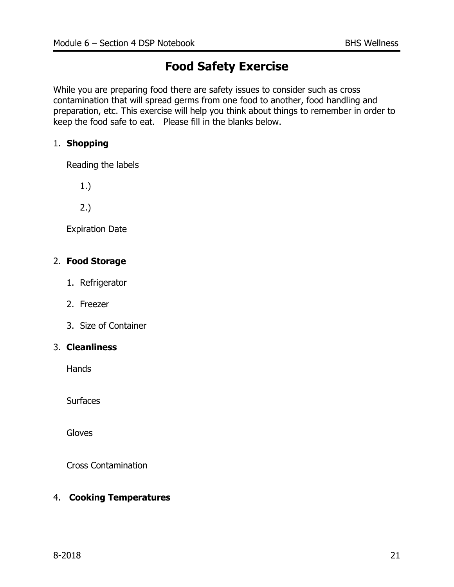### Food Safety Exercise

While you are preparing food there are safety issues to consider such as cross contamination that will spread germs from one food to another, food handling and preparation, etc. This exercise will help you think about things to remember in order to keep the food safe to eat. Please fill in the blanks below.

### 1. Shopping

Reading the labels

1.)

2.)

Expiration Date

#### 2. Food Storage

- 1. Refrigerator
- 2. Freezer
- 3. Size of Container

#### 3. Cleanliness

**Hands** 

**Surfaces** 

**Gloves** 

Cross Contamination

#### 4. Cooking Temperatures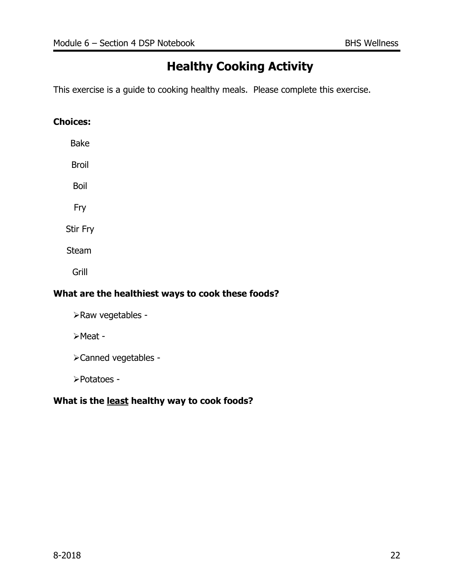### Healthy Cooking Activity

This exercise is a guide to cooking healthy meals. Please complete this exercise.

### Choices:

Bake

Broil

Boil

Fry

Stir Fry

**Steam** 

Grill

### What are the healthiest ways to cook these foods?

-Raw vegetables -

-Meat -

-Canned vegetables -

-Potatoes -

### What is the least healthy way to cook foods?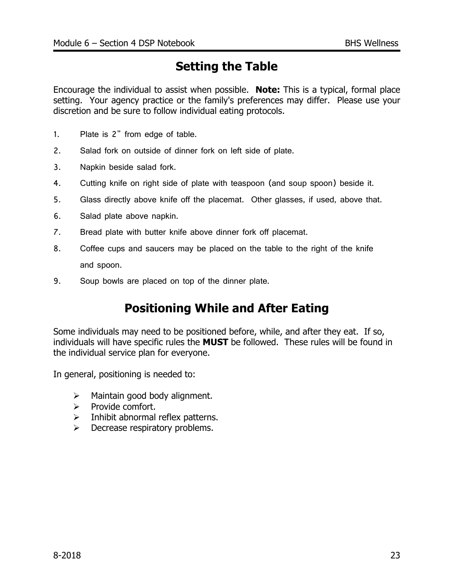### Setting the Table

Encourage the individual to assist when possible. **Note:** This is a typical, formal place setting. Your agency practice or the family's preferences may differ. Please use your discretion and be sure to follow individual eating protocols.

- 1. Plate is 2" from edge of table.
- 2. Salad fork on outside of dinner fork on left side of plate.
- 3. Napkin beside salad fork.
- 4. Cutting knife on right side of plate with teaspoon (and soup spoon) beside it.
- 5. Glass directly above knife off the placemat. Other glasses, if used, above that.
- 6. Salad plate above napkin.
- 7. Bread plate with butter knife above dinner fork off placemat.
- 8. Coffee cups and saucers may be placed on the table to the right of the knife and spoon.
- 9. Soup bowls are placed on top of the dinner plate.

### Positioning While and After Eating

Some individuals may need to be positioned before, while, and after they eat. If so, individuals will have specific rules the **MUST** be followed. These rules will be found in the individual service plan for everyone.

In general, positioning is needed to:

- $\blacktriangleright$ Maintain good body alignment.
- > Provide comfort.
- > Inhibit abnormal reflex patterns.
- $\blacktriangleright$ Decrease respiratory problems.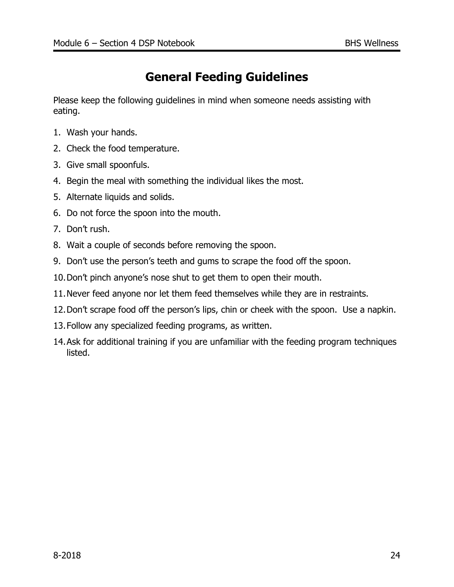### General Feeding Guidelines

Please keep the following guidelines in mind when someone needs assisting with eating.

- 1. Wash your hands.
- 2. Check the food temperature.
- 3. Give small spoonfuls.
- 4. Begin the meal with something the individual likes the most.
- 5. Alternate liquids and solids.
- 6. Do not force the spoon into the mouth.
- 7. Don't rush.
- 8. Wait a couple of seconds before removing the spoon.
- 9. Don't use the person's teeth and gums to scrape the food off the spoon.
- 10.Don't pinch anyone's nose shut to get them to open their mouth.
- 11.Never feed anyone nor let them feed themselves while they are in restraints.
- 12.Don't scrape food off the person's lips, chin or cheek with the spoon. Use a napkin.
- 13.Follow any specialized feeding programs, as written.
- 14.Ask for additional training if you are unfamiliar with the feeding program techniques listed.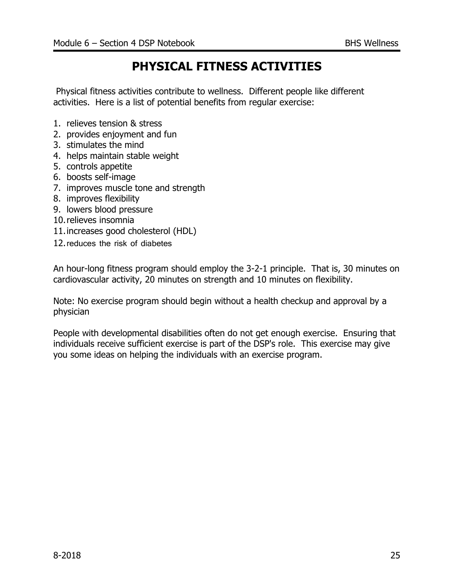### PHYSICAL FITNESS ACTIVITIES

 Physical fitness activities contribute to wellness. Different people like different activities. Here is a list of potential benefits from regular exercise:

- 1. relieves tension & stress
- 2. provides enjoyment and fun
- 3. stimulates the mind
- 4. helps maintain stable weight
- 5. controls appetite
- 6. boosts self-image
- 7. improves muscle tone and strength
- 8. improves flexibility
- 9. lowers blood pressure
- 10.relieves insomnia
- 11.increases good cholesterol (HDL)
- 12.reduces the risk of diabetes

An hour-long fitness program should employ the 3-2-1 principle. That is, 30 minutes on cardiovascular activity, 20 minutes on strength and 10 minutes on flexibility.

Note: No exercise program should begin without a health checkup and approval by a physician

People with developmental disabilities often do not get enough exercise. Ensuring that individuals receive sufficient exercise is part of the DSP's role. This exercise may give you some ideas on helping the individuals with an exercise program.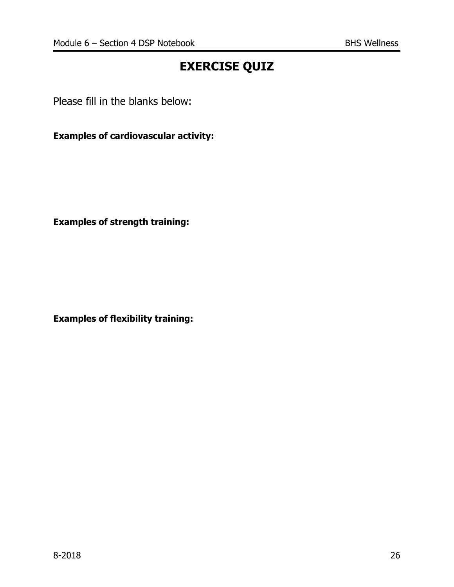## EXERCISE QUIZ

Please fill in the blanks below:

Examples of cardiovascular activity:

Examples of strength training:

Examples of flexibility training: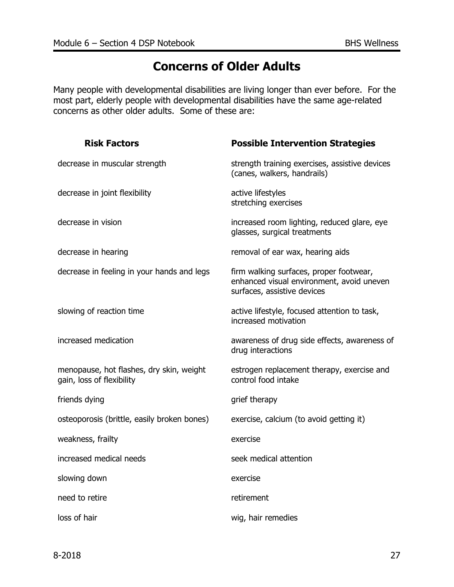### Concerns of Older Adults

Many people with developmental disabilities are living longer than ever before. For the most part, elderly people with developmental disabilities have the same age-related concerns as other older adults. Some of these are:

| <b>Risk Factors</b>                                                   | <b>Possible Intervention Strategies</b>                                                                             |
|-----------------------------------------------------------------------|---------------------------------------------------------------------------------------------------------------------|
| decrease in muscular strength                                         | strength training exercises, assistive devices<br>(canes, walkers, handrails)                                       |
| decrease in joint flexibility                                         | active lifestyles<br>stretching exercises                                                                           |
| decrease in vision                                                    | increased room lighting, reduced glare, eye<br>glasses, surgical treatments                                         |
| decrease in hearing                                                   | removal of ear wax, hearing aids                                                                                    |
| decrease in feeling in your hands and legs                            | firm walking surfaces, proper footwear,<br>enhanced visual environment, avoid uneven<br>surfaces, assistive devices |
| slowing of reaction time                                              | active lifestyle, focused attention to task,<br>increased motivation                                                |
| increased medication                                                  | awareness of drug side effects, awareness of<br>drug interactions                                                   |
| menopause, hot flashes, dry skin, weight<br>gain, loss of flexibility | estrogen replacement therapy, exercise and<br>control food intake                                                   |
| friends dying                                                         | grief therapy                                                                                                       |
| osteoporosis (brittle, easily broken bones)                           | exercise, calcium (to avoid getting it)                                                                             |
| weakness, frailty                                                     | exercise                                                                                                            |
| increased medical needs                                               | seek medical attention                                                                                              |
| slowing down                                                          | exercise                                                                                                            |
| need to retire                                                        | retirement                                                                                                          |
| loss of hair                                                          | wig, hair remedies                                                                                                  |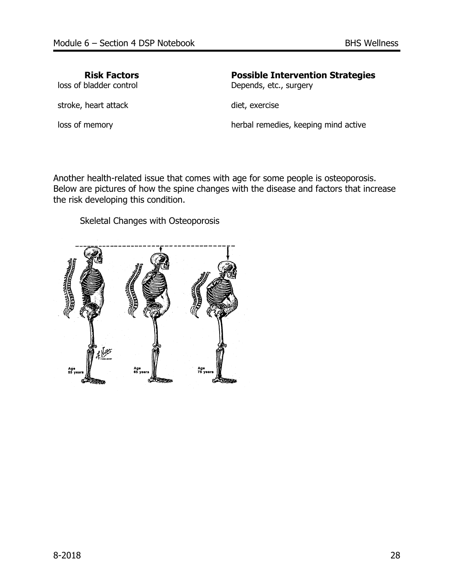stroke, heart attack

loss of memory

Risk Factors Possible Intervention Strategies

loss of bladder control Depends, etc., surgery

diet, exercise

herbal remedies, keeping mind active

Another health-related issue that comes with age for some people is osteoporosis. Below are pictures of how the spine changes with the disease and factors that increase the risk developing this condition.

Skeletal Changes with Osteoporosis

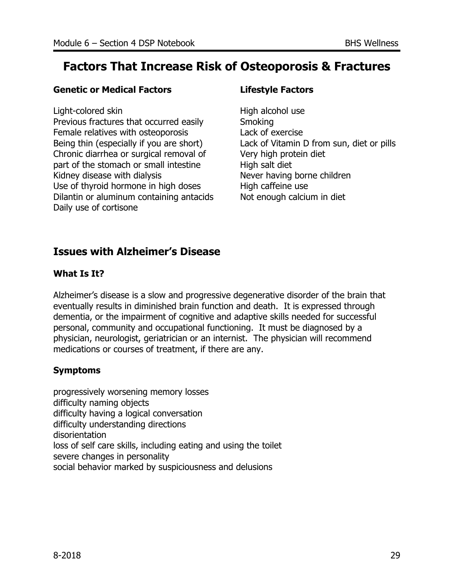### Factors That Increase Risk of Osteoporosis & Fractures

#### Genetic or Medical Factors Lifestyle Factors

Light-colored skin **High alcohol** use

Previous fractures that occurred easily Smoking Female relatives with osteoporosis Lack of exercise Being thin (especially if you are short) Lack of Vitamin D from sun, diet or pills Chronic diarrhea or surgical removal of Very high protein diet<br>part of the stomach or small intestine High salt diet part of the stomach or small intestine Kidney disease with dialysis Never having borne children Use of thyroid hormone in high doses High caffeine use Dilantin or aluminum containing antacids Not enough calcium in diet Daily use of cortisone

### Issues with Alzheimer's Disease

#### What Is It?

Alzheimer's disease is a slow and progressive degenerative disorder of the brain that eventually results in diminished brain function and death. It is expressed through dementia, or the impairment of cognitive and adaptive skills needed for successful personal, community and occupational functioning. It must be diagnosed by a physician, neurologist, geriatrician or an internist. The physician will recommend medications or courses of treatment, if there are any.

### Symptoms

progressively worsening memory losses difficulty naming objects difficulty having a logical conversation difficulty understanding directions disorientation loss of self care skills, including eating and using the toilet severe changes in personality social behavior marked by suspiciousness and delusions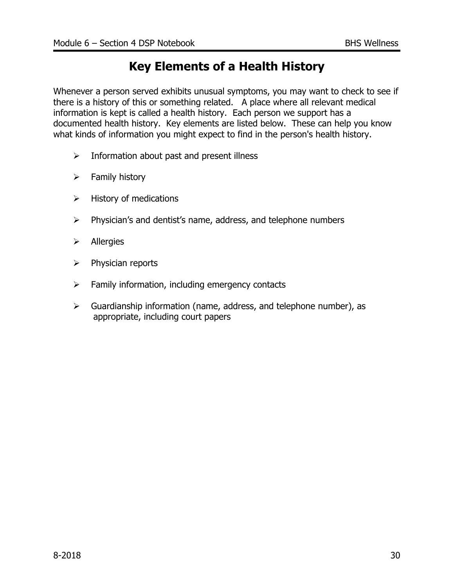### Key Elements of a Health History

Whenever a person served exhibits unusual symptoms, you may want to check to see if there is a history of this or something related. A place where all relevant medical information is kept is called a health history. Each person we support has a documented health history. Key elements are listed below. These can help you know what kinds of information you might expect to find in the person's health history.

- $\blacktriangleright$ Information about past and present illness
- $\blacktriangleright$ Family history
- $\blacktriangleright$ History of medications
- $\blacktriangleright$ Physician's and dentist's name, address, and telephone numbers
- $\blacktriangleright$ **Allergies**
- $\blacktriangleright$ Physician reports
- $\blacktriangleright$ Family information, including emergency contacts
- $\blacktriangleright$  Guardianship information (name, address, and telephone number), as appropriate, including court papers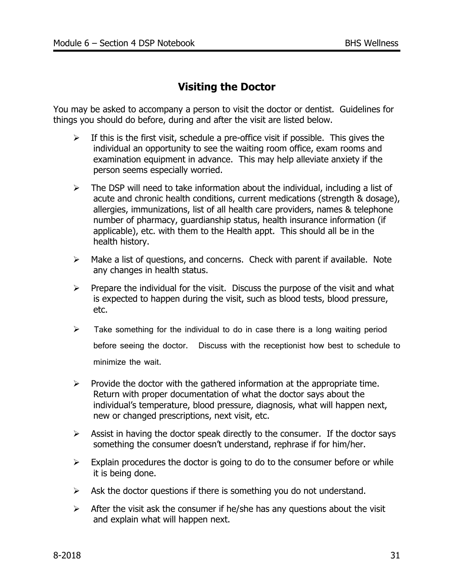### Visiting the Doctor

You may be asked to accompany a person to visit the doctor or dentist. Guidelines for things you should do before, during and after the visit are listed below.

- $\blacktriangleright$  If this is the first visit, schedule a pre-office visit if possible. This gives the individual an opportunity to see the waiting room office, exam rooms and examination equipment in advance. This may help alleviate anxiety if the person seems especially worried.
- $\blacktriangleright$  The DSP will need to take information about the individual, including a list of acute and chronic health conditions, current medications (strength & dosage), allergies, immunizations, list of all health care providers, names & telephone number of pharmacy, guardianship status, health insurance information (if applicable), etc. with them to the Health appt. This should all be in the health history.
- $\blacktriangleright$  Make a list of questions, and concerns. Check with parent if available. Note any changes in health status.
- $\blacktriangleright$  Prepare the individual for the visit. Discuss the purpose of the visit and what is expected to happen during the visit, such as blood tests, blood pressure, etc.
- $\blacktriangleright$  Take something for the individual to do in case there is a long waiting period before seeing the doctor. Discuss with the receptionist how best to schedule to minimize the wait.
- $\blacktriangleright$  Provide the doctor with the gathered information at the appropriate time. Return with proper documentation of what the doctor says about the individual's temperature, blood pressure, diagnosis, what will happen next, new or changed prescriptions, next visit, etc.
- $\blacktriangleright$  Assist in having the doctor speak directly to the consumer. If the doctor says something the consumer doesn't understand, rephrase if for him/her.
- $\blacktriangleright$  Explain procedures the doctor is going to do to the consumer before or while it is being done.
- $\triangleright$ Ask the doctor questions if there is something you do not understand.
- $\blacktriangleright$  After the visit ask the consumer if he/she has any questions about the visit and explain what will happen next.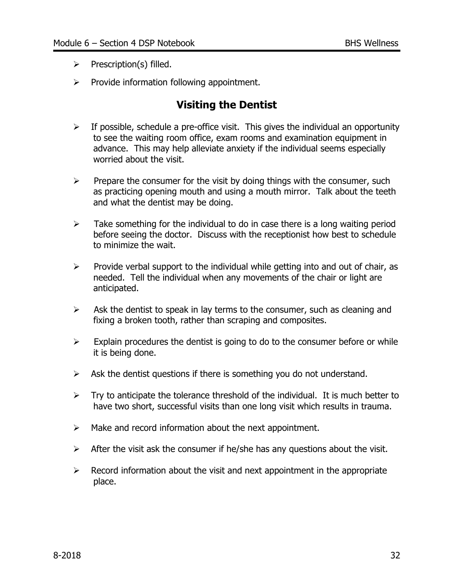- $\blacktriangleright$ Prescription(s) filled.
- $\blacktriangleright$ Provide information following appointment.

### Visiting the Dentist

- $\blacktriangleright$  If possible, schedule a pre-office visit. This gives the individual an opportunity to see the waiting room office, exam rooms and examination equipment in advance. This may help alleviate anxiety if the individual seems especially worried about the visit.
- $\blacktriangleright$  Prepare the consumer for the visit by doing things with the consumer, such as practicing opening mouth and using a mouth mirror. Talk about the teeth and what the dentist may be doing.
- $\blacktriangleright$  Take something for the individual to do in case there is a long waiting period before seeing the doctor. Discuss with the receptionist how best to schedule to minimize the wait.
- $\blacktriangleright$  Provide verbal support to the individual while getting into and out of chair, as needed. Tell the individual when any movements of the chair or light are anticipated.
- $\blacktriangleright$  Ask the dentist to speak in lay terms to the consumer, such as cleaning and fixing a broken tooth, rather than scraping and composites.
- $\blacktriangleright$  Explain procedures the dentist is going to do to the consumer before or while it is being done.
- $\blacktriangleright$ Ask the dentist questions if there is something you do not understand.
- $\blacktriangleright$  Try to anticipate the tolerance threshold of the individual. It is much better to have two short, successful visits than one long visit which results in trauma.
- $\blacktriangleright$ Make and record information about the next appointment.
- $\blacktriangleright$ After the visit ask the consumer if he/she has any questions about the visit.
- $\blacktriangleright$  Record information about the visit and next appointment in the appropriate place.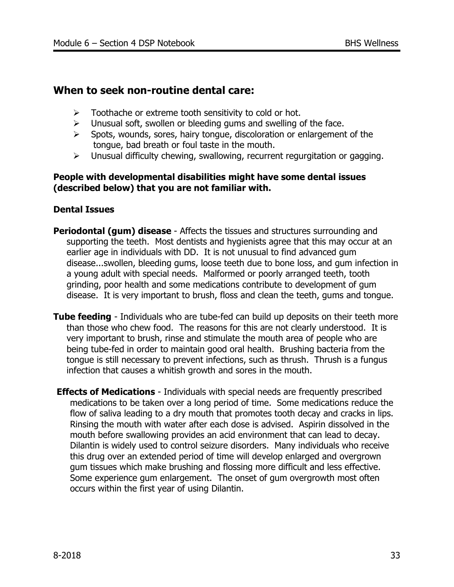### When to seek non-routine dental care:

- $\blacktriangleright$ Toothache or extreme tooth sensitivity to cold or hot.
- > Unusual soft, swollen or bleeding gums and swelling of the face.
- $\blacktriangleright$  Spots, wounds, sores, hairy tongue, discoloration or enlargement of the tongue, bad breath or foul taste in the mouth.
- $\blacktriangleright$ Unusual difficulty chewing, swallowing, recurrent regurgitation or gagging.

### People with developmental disabilities might have some dental issues (described below) that you are not familiar with.

#### Dental Issues

- **Periodontal (gum) disease** Affects the tissues and structures surrounding and supporting the teeth. Most dentists and hygienists agree that this may occur at an earlier age in individuals with DD. It is not unusual to find advanced gum disease...swollen, bleeding gums, loose teeth due to bone loss, and gum infection in a young adult with special needs. Malformed or poorly arranged teeth, tooth grinding, poor health and some medications contribute to development of gum disease. It is very important to brush, floss and clean the teeth, gums and tongue.
- **Tube feeding** Individuals who are tube-fed can build up deposits on their teeth more than those who chew food. The reasons for this are not clearly understood. It is very important to brush, rinse and stimulate the mouth area of people who are being tube-fed in order to maintain good oral health. Brushing bacteria from the tongue is still necessary to prevent infections, such as thrush. Thrush is a fungus infection that causes a whitish growth and sores in the mouth.
- **Effects of Medications** Individuals with special needs are frequently prescribed medications to be taken over a long period of time. Some medications reduce the flow of saliva leading to a dry mouth that promotes tooth decay and cracks in lips. Rinsing the mouth with water after each dose is advised. Aspirin dissolved in the mouth before swallowing provides an acid environment that can lead to decay. Dilantin is widely used to control seizure disorders. Many individuals who receive this drug over an extended period of time will develop enlarged and overgrown gum tissues which make brushing and flossing more difficult and less effective. Some experience gum enlargement. The onset of gum overgrowth most often occurs within the first year of using Dilantin.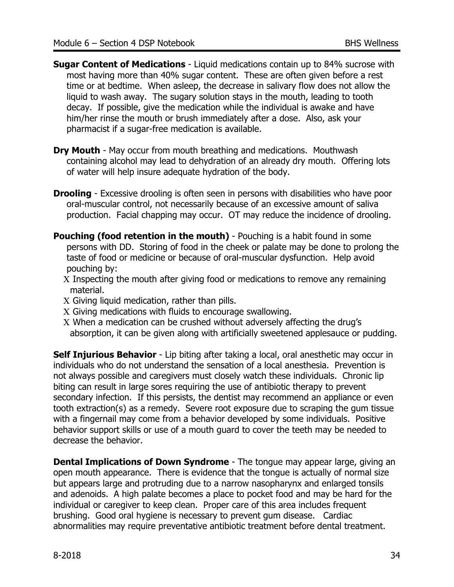- **Sugar Content of Medications** Liquid medications contain up to 84% sucrose with most having more than 40% sugar content. These are often given before a rest time or at bedtime. When asleep, the decrease in salivary flow does not allow the liquid to wash away. The sugary solution stays in the mouth, leading to tooth decay. If possible, give the medication while the individual is awake and have him/her rinse the mouth or brush immediately after a dose. Also, ask your pharmacist if a sugar-free medication is available.
- **Dry Mouth** May occur from mouth breathing and medications. Mouthwash containing alcohol may lead to dehydration of an already dry mouth. Offering lots of water will help insure adequate hydration of the body.
- **Drooling** Excessive drooling is often seen in persons with disabilities who have poor oral-muscular control, not necessarily because of an excessive amount of saliva production. Facial chapping may occur. OT may reduce the incidence of drooling.
- **Pouching (food retention in the mouth)** Pouching is a habit found in some persons with DD. Storing of food in the cheek or palate may be done to prolong the taste of food or medicine or because of oral-muscular dysfunction. Help avoid pouching by:
	- Χ Inspecting the mouth after giving food or medications to remove any remaining material.
	- Χ Giving liquid medication, rather than pills.
	- Χ Giving medications with fluids to encourage swallowing.
	- Χ When a medication can be crushed without adversely affecting the drug's absorption, it can be given along with artificially sweetened applesauce or pudding.

Self Injurious Behavior - Lip biting after taking a local, oral anesthetic may occur in individuals who do not understand the sensation of a local anesthesia. Prevention is not always possible and caregivers must closely watch these individuals. Chronic lip biting can result in large sores requiring the use of antibiotic therapy to prevent secondary infection. If this persists, the dentist may recommend an appliance or even tooth extraction(s) as a remedy. Severe root exposure due to scraping the gum tissue with a fingernail may come from a behavior developed by some individuals. Positive behavior support skills or use of a mouth guard to cover the teeth may be needed to decrease the behavior.

**Dental Implications of Down Syndrome** - The tongue may appear large, giving an open mouth appearance. There is evidence that the tongue is actually of normal size but appears large and protruding due to a narrow nasopharynx and enlarged tonsils and adenoids. A high palate becomes a place to pocket food and may be hard for the individual or caregiver to keep clean. Proper care of this area includes frequent brushing. Good oral hygiene is necessary to prevent gum disease. Cardiac abnormalities may require preventative antibiotic treatment before dental treatment.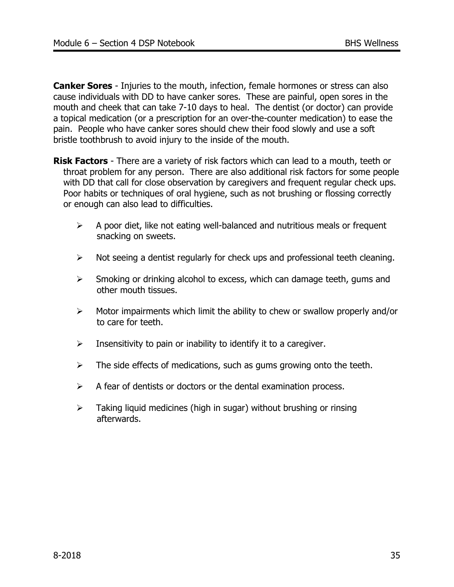**Canker Sores** - Injuries to the mouth, infection, female hormones or stress can also cause individuals with DD to have canker sores. These are painful, open sores in the mouth and cheek that can take 7-10 days to heal. The dentist (or doctor) can provide a topical medication (or a prescription for an over-the-counter medication) to ease the pain. People who have canker sores should chew their food slowly and use a soft bristle toothbrush to avoid injury to the inside of the mouth.

**Risk Factors** - There are a variety of risk factors which can lead to a mouth, teeth or throat problem for any person. There are also additional risk factors for some people with DD that call for close observation by caregivers and frequent regular check ups. Poor habits or techniques of oral hygiene, such as not brushing or flossing correctly or enough can also lead to difficulties.

- $\blacktriangleright$  A poor diet, like not eating well-balanced and nutritious meals or frequent snacking on sweets.
- $\blacktriangleright$ Not seeing a dentist regularly for check ups and professional teeth cleaning.
- $\blacktriangleright$  Smoking or drinking alcohol to excess, which can damage teeth, gums and other mouth tissues.
- $\blacktriangleright$  Motor impairments which limit the ability to chew or swallow properly and/or to care for teeth.
- $\blacktriangleright$ Insensitivity to pain or inability to identify it to a caregiver.
- $\blacktriangleright$ The side effects of medications, such as gums growing onto the teeth.
- $\blacktriangleright$ A fear of dentists or doctors or the dental examination process.
- $\blacktriangleright$  Taking liquid medicines (high in sugar) without brushing or rinsing afterwards.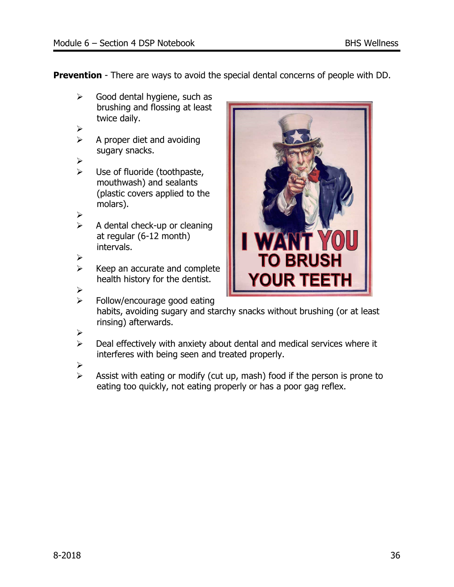**Prevention** - There are ways to avoid the special dental concerns of people with DD.

- $\blacktriangleright$  Good dental hygiene, such as brushing and flossing at least twice daily.
- $\blacktriangleright$
- $\blacktriangleright$  A proper diet and avoiding sugary snacks.
- $\blacktriangleright$
- $\blacktriangleright$  Use of fluoride (toothpaste, mouthwash) and sealants (plastic covers applied to the molars).
- $\blacktriangleright$
- $\blacktriangleright$  A dental check-up or cleaning at regular (6-12 month) intervals.
- $\blacktriangleright$
- $\blacktriangleright$  Keep an accurate and complete health history for the dentist.
- $\blacktriangleright$
- $\blacktriangleright$  Follow/encourage good eating habits, avoiding sugary and starchy snacks without brushing (or at least rinsing) afterwards.
- $\blacktriangleright$
- $\blacktriangleright$  Deal effectively with anxiety about dental and medical services where it interferes with being seen and treated properly.
- $\blacktriangleright$
- $\blacktriangleright$  Assist with eating or modify (cut up, mash) food if the person is prone to eating too quickly, not eating properly or has a poor gag reflex.

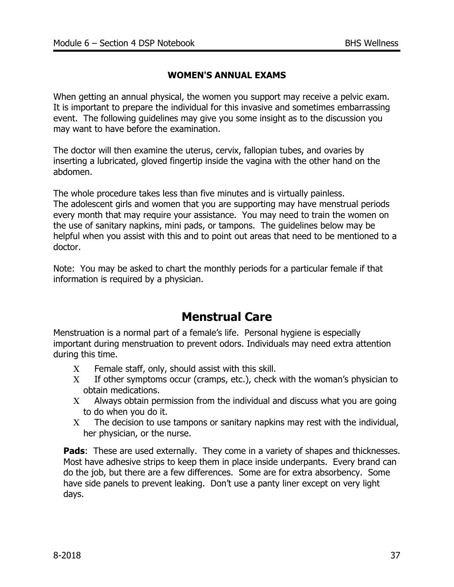### WOMEN'S ANNUAL EXAMS

When getting an annual physical, the women you support may receive a pelvic exam. It is important to prepare the individual for this invasive and sometimes embarrassing event. The following guidelines may give you some insight as to the discussion you may want to have before the examination.

The doctor will then examine the uterus, cervix, fallopian tubes, and ovaries by inserting a lubricated, gloved fingertip inside the vagina with the other hand on the abdomen.

The whole procedure takes less than five minutes and is virtually painless. The adolescent girls and women that you are supporting may have menstrual periods every month that may require your assistance. You may need to train the women on the use of sanitary napkins, mini pads, or tampons. The guidelines below may be helpful when you assist with this and to point out areas that need to be mentioned to a doctor.

Note: You may be asked to chart the monthly periods for a particular female if that information is required by a physician.

### Menstrual Care

Menstruation is a normal part of a female's life. Personal hygiene is especially important during menstruation to prevent odors. Individuals may need extra attention during this time.

- Χ Female staff, only, should assist with this skill.
- Χ If other symptoms occur (cramps, etc.), check with the woman's physician to obtain medications.
- Χ Always obtain permission from the individual and discuss what you are going to do when you do it.
- Χ The decision to use tampons or sanitary napkins may rest with the individual, her physician, or the nurse.

Pads: These are used externally. They come in a variety of shapes and thicknesses. Most have adhesive strips to keep them in place inside underpants. Every brand can do the job, but there are a few differences. Some are for extra absorbency. Some have side panels to prevent leaking. Don't use a panty liner except on very light days.